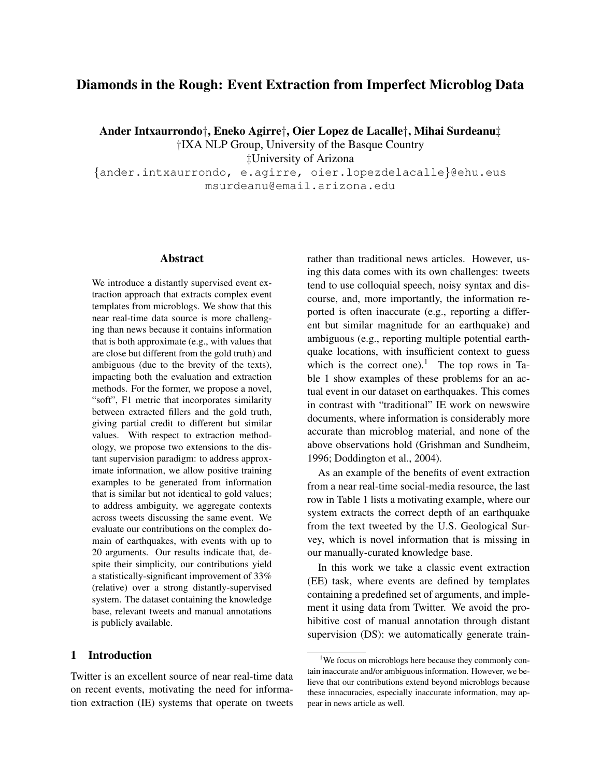# Diamonds in the Rough: Event Extraction from Imperfect Microblog Data

Ander Intxaurrondo†, Eneko Agirre†, Oier Lopez de Lacalle†, Mihai Surdeanu‡ †IXA NLP Group, University of the Basque Country

‡University of Arizona

{ander.intxaurrondo, e.agirre, oier.lopezdelacalle}@ehu.eus msurdeanu@email.arizona.edu

### Abstract

We introduce a distantly supervised event extraction approach that extracts complex event templates from microblogs. We show that this near real-time data source is more challenging than news because it contains information that is both approximate (e.g., with values that are close but different from the gold truth) and ambiguous (due to the brevity of the texts), impacting both the evaluation and extraction methods. For the former, we propose a novel, "soft", F1 metric that incorporates similarity between extracted fillers and the gold truth, giving partial credit to different but similar values. With respect to extraction methodology, we propose two extensions to the distant supervision paradigm: to address approximate information, we allow positive training examples to be generated from information that is similar but not identical to gold values; to address ambiguity, we aggregate contexts across tweets discussing the same event. We evaluate our contributions on the complex domain of earthquakes, with events with up to 20 arguments. Our results indicate that, despite their simplicity, our contributions yield a statistically-significant improvement of 33% (relative) over a strong distantly-supervised system. The dataset containing the knowledge base, relevant tweets and manual annotations is publicly available.

### 1 Introduction

Twitter is an excellent source of near real-time data on recent events, motivating the need for information extraction (IE) systems that operate on tweets rather than traditional news articles. However, using this data comes with its own challenges: tweets tend to use colloquial speech, noisy syntax and discourse, and, more importantly, the information reported is often inaccurate (e.g., reporting a different but similar magnitude for an earthquake) and ambiguous (e.g., reporting multiple potential earthquake locations, with insufficient context to guess which is the correct one).<sup>1</sup> The top rows in Table 1 show examples of these problems for an actual event in our dataset on earthquakes. This comes in contrast with "traditional" IE work on newswire documents, where information is considerably more accurate than microblog material, and none of the above observations hold (Grishman and Sundheim, 1996; Doddington et al., 2004).

As an example of the benefits of event extraction from a near real-time social-media resource, the last row in Table 1 lists a motivating example, where our system extracts the correct depth of an earthquake from the text tweeted by the U.S. Geological Survey, which is novel information that is missing in our manually-curated knowledge base.

In this work we take a classic event extraction (EE) task, where events are defined by templates containing a predefined set of arguments, and implement it using data from Twitter. We avoid the prohibitive cost of manual annotation through distant supervision (DS): we automatically generate train-

<sup>&</sup>lt;sup>1</sup>We focus on microblogs here because they commonly contain inaccurate and/or ambiguous information. However, we believe that our contributions extend beyond microblogs because these innacuracies, especially inaccurate information, may appear in news article as well.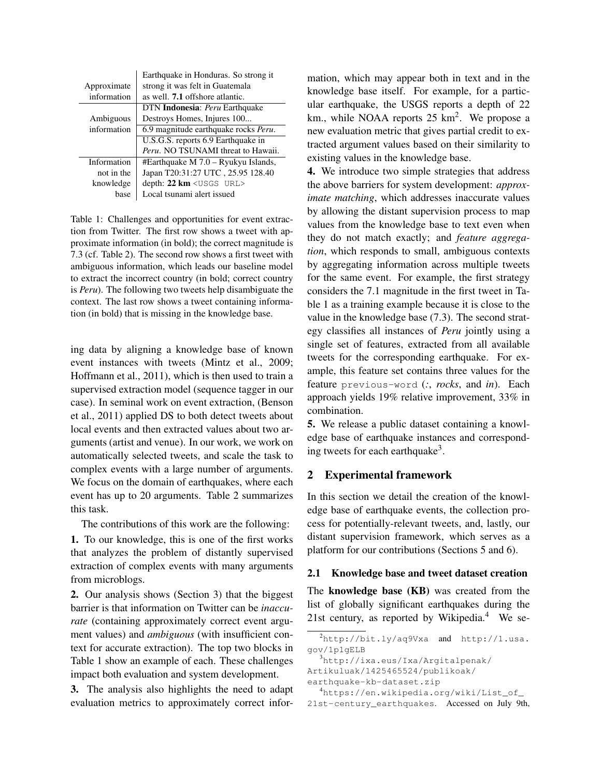|             | Earthquake in Honduras. So strong it   |
|-------------|----------------------------------------|
| Approximate | strong it was felt in Guatemala        |
| information | as well. <b>7.1</b> offshore atlantic. |
|             | DTN Indonesia: Peru Earthquake         |
| Ambiguous   | Destroys Homes, Injures 100            |
| information | 6.9 magnitude earthquake rocks Peru.   |
|             | U.S.G.S. reports 6.9 Earthquake in     |
|             | Peru. NO TSUNAMI threat to Hawaii.     |
| Information | $#Earthquake M 7.0 - Ryukyu Islands,$  |
| not in the  | Japan T20:31:27 UTC, 25.95 128.40      |
| knowledge   | depth: $22 \text{ km} <$ USGS URL>     |
| base        | Local tsunami alert issued             |

Table 1: Challenges and opportunities for event extraction from Twitter. The first row shows a tweet with approximate information (in bold); the correct magnitude is 7.3 (cf. Table 2). The second row shows a first tweet with ambiguous information, which leads our baseline model to extract the incorrect country (in bold; correct country is *Peru*). The following two tweets help disambiguate the context. The last row shows a tweet containing information (in bold) that is missing in the knowledge base.

ing data by aligning a knowledge base of known event instances with tweets (Mintz et al., 2009; Hoffmann et al., 2011), which is then used to train a supervised extraction model (sequence tagger in our case). In seminal work on event extraction, (Benson et al., 2011) applied DS to both detect tweets about local events and then extracted values about two arguments (artist and venue). In our work, we work on automatically selected tweets, and scale the task to complex events with a large number of arguments. We focus on the domain of earthquakes, where each event has up to 20 arguments. Table 2 summarizes this task.

The contributions of this work are the following:

1. To our knowledge, this is one of the first works that analyzes the problem of distantly supervised extraction of complex events with many arguments from microblogs.

2. Our analysis shows (Section 3) that the biggest barrier is that information on Twitter can be *inaccurate* (containing approximately correct event argument values) and *ambiguous* (with insufficient context for accurate extraction). The top two blocks in Table 1 show an example of each. These challenges impact both evaluation and system development.

3. The analysis also highlights the need to adapt evaluation metrics to approximately correct information, which may appear both in text and in the knowledge base itself. For example, for a particular earthquake, the USGS reports a depth of 22 km., while NOAA reports  $25 \text{ km}^2$ . We propose a new evaluation metric that gives partial credit to extracted argument values based on their similarity to existing values in the knowledge base.

4. We introduce two simple strategies that address the above barriers for system development: *approximate matching*, which addresses inaccurate values by allowing the distant supervision process to map values from the knowledge base to text even when they do not match exactly; and *feature aggregation*, which responds to small, ambiguous contexts by aggregating information across multiple tweets for the same event. For example, the first strategy considers the 7.1 magnitude in the first tweet in Table 1 as a training example because it is close to the value in the knowledge base (7.3). The second strategy classifies all instances of *Peru* jointly using a single set of features, extracted from all available tweets for the corresponding earthquake. For example, this feature set contains three values for the feature previous-word (*:*, *rocks*, and *in*). Each approach yields 19% relative improvement, 33% in combination.

5. We release a public dataset containing a knowledge base of earthquake instances and corresponding tweets for each earthquake<sup>3</sup>.

# 2 Experimental framework

In this section we detail the creation of the knowledge base of earthquake events, the collection process for potentially-relevant tweets, and, lastly, our distant supervision framework, which serves as a platform for our contributions (Sections 5 and 6).

# 2.1 Knowledge base and tweet dataset creation

The knowledge base (KB) was created from the list of globally significant earthquakes during the 21st century, as reported by Wikipedia.<sup>4</sup> We se-

earthquake-kb-dataset.zip

 $^{2}$ http://bit.ly/aq9Vxa and http://1.usa. gov/1p1gELB

<sup>3</sup>http://ixa.eus/Ixa/Argitalpenak/ Artikuluak/1425465524/publikoak/

<sup>4</sup>https://en.wikipedia.org/wiki/List\_of\_ 21st-century\_earthquakes. Accessed on July 9th,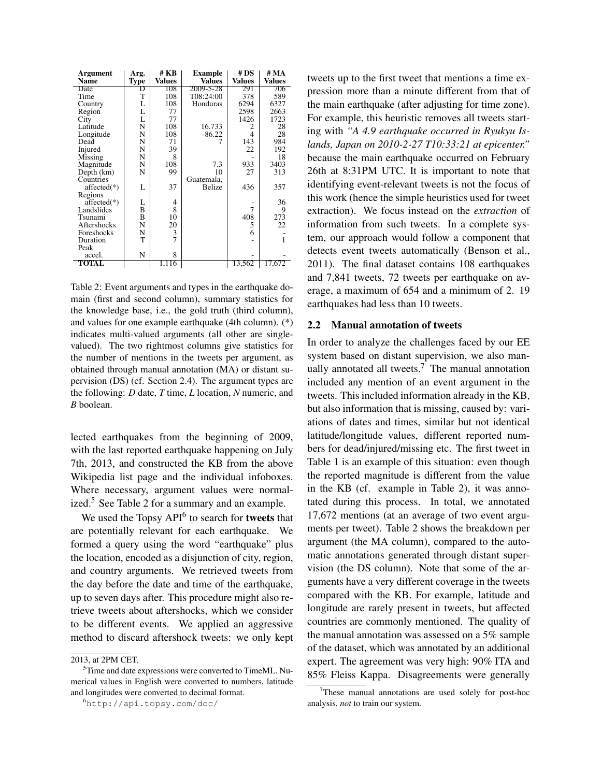| Argument      | Arg.        | # KB           | Example       | #DS            | # MA          |
|---------------|-------------|----------------|---------------|----------------|---------------|
| Name          | <b>Type</b> | Values         | <b>Values</b> | <b>Values</b>  | <b>Values</b> |
| Date          | D           | 108            | 2009-5-28     | 291            | 706           |
| Time          | T           | 108            | T08:24:00     | 378            | 589           |
| Country       | L           | 108            | Honduras      | 6294           | 6327          |
| Region        | L           | 77             |               | 2598           | 2663          |
| City          | L           | 77             |               | 1426           | 1723          |
| Latitude      | N           | 108            | 16.733        | 2              | 28            |
| Longitude     | N           | 108            | $-86.22$      | $\overline{4}$ | 28            |
| Dead          | N           | 71             |               | 143            | 984           |
| Injured       | N           | 39             |               | 22             | 192           |
| Missing       | N           | 8              |               |                | 18            |
| Magnitude     | N           | 108            | 7.3           | 933            | 3403          |
| Depth (km)    | N           | 99             | 10            | 27             | 313           |
| Countries     |             |                | Guatemala,    |                |               |
| $affected(*)$ | L           | 37             | Belize        | 436            | 357           |
| Regions       |             |                |               |                |               |
| $affected(*)$ | L           | 4              |               |                | 36            |
| Landslides    | B           | 8              |               | 7              | 9             |
| Tsunami       | B           | 10             |               | 408            | 273           |
| Aftershocks   | N           | 20             |               | 5              | 22            |
| Foreshocks    | N           | 3              |               | 6              |               |
| Duration      | T           | $\overline{7}$ |               |                | 1             |
| Peak          |             |                |               |                |               |
| accel.        | N           | 8              |               |                |               |
| TOTAL         |             | 1,116          |               | 13.562         | 17.672        |

Table 2: Event arguments and types in the earthquake domain (first and second column), summary statistics for the knowledge base, i.e., the gold truth (third column), and values for one example earthquake (4th column). (\*) indicates multi-valued arguments (all other are singlevalued). The two rightmost columns give statistics for the number of mentions in the tweets per argument, as obtained through manual annotation (MA) or distant supervision (DS) (cf. Section 2.4). The argument types are the following: *D* date, *T* time, *L* location, *N* numeric, and *B* boolean.

lected earthquakes from the beginning of 2009, with the last reported earthquake happening on July 7th, 2013, and constructed the KB from the above Wikipedia list page and the individual infoboxes. Where necessary, argument values were normalized.<sup>5</sup> See Table 2 for a summary and an example.

We used the Topsy  $API^6$  to search for tweets that are potentially relevant for each earthquake. We formed a query using the word "earthquake" plus the location, encoded as a disjunction of city, region, and country arguments. We retrieved tweets from the day before the date and time of the earthquake, up to seven days after. This procedure might also retrieve tweets about aftershocks, which we consider to be different events. We applied an aggressive method to discard aftershock tweets: we only kept tweets up to the first tweet that mentions a time expression more than a minute different from that of the main earthquake (after adjusting for time zone). For example, this heuristic removes all tweets starting with *"A 4.9 earthquake occurred in Ryukyu Islands, Japan on 2010-2-27 T10:33:21 at epicenter."* because the main earthquake occurred on February 26th at 8:31PM UTC. It is important to note that identifying event-relevant tweets is not the focus of this work (hence the simple heuristics used for tweet extraction). We focus instead on the *extraction* of information from such tweets. In a complete system, our approach would follow a component that detects event tweets automatically (Benson et al., 2011). The final dataset contains 108 earthquakes and 7,841 tweets, 72 tweets per earthquake on average, a maximum of 654 and a minimum of 2. 19 earthquakes had less than 10 tweets.

#### 2.2 Manual annotation of tweets

In order to analyze the challenges faced by our EE system based on distant supervision, we also manually annotated all tweets.<sup>7</sup> The manual annotation included any mention of an event argument in the tweets. This included information already in the KB, but also information that is missing, caused by: variations of dates and times, similar but not identical latitude/longitude values, different reported numbers for dead/injured/missing etc. The first tweet in Table 1 is an example of this situation: even though the reported magnitude is different from the value in the KB (cf. example in Table 2), it was annotated during this process. In total, we annotated 17,672 mentions (at an average of two event arguments per tweet). Table 2 shows the breakdown per argument (the MA column), compared to the automatic annotations generated through distant supervision (the DS column). Note that some of the arguments have a very different coverage in the tweets compared with the KB. For example, latitude and longitude are rarely present in tweets, but affected countries are commonly mentioned. The quality of the manual annotation was assessed on a 5% sample of the dataset, which was annotated by an additional expert. The agreement was very high: 90% ITA and 85% Fleiss Kappa. Disagreements were generally

<sup>2013,</sup> at 2PM CET.

 $5$ Time and date expressions were converted to TimeML. Numerical values in English were converted to numbers, latitude and longitudes were converted to decimal format.

<sup>6</sup>http://api.topsy.com/doc/

 $7$ These manual annotations are used solely for post-hoc analysis, *not* to train our system.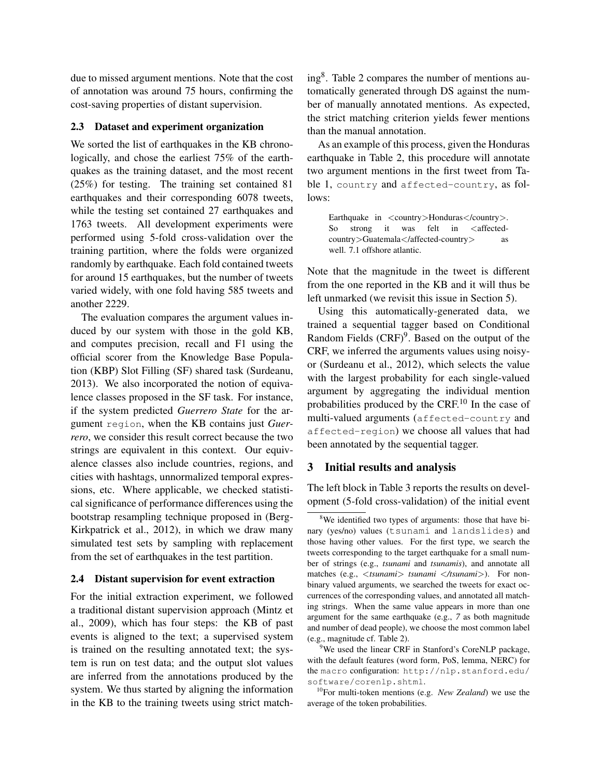due to missed argument mentions. Note that the cost of annotation was around 75 hours, confirming the cost-saving properties of distant supervision.

#### 2.3 Dataset and experiment organization

We sorted the list of earthquakes in the KB chronologically, and chose the earliest 75% of the earthquakes as the training dataset, and the most recent (25%) for testing. The training set contained 81 earthquakes and their corresponding 6078 tweets, while the testing set contained 27 earthquakes and 1763 tweets. All development experiments were performed using 5-fold cross-validation over the training partition, where the folds were organized randomly by earthquake. Each fold contained tweets for around 15 earthquakes, but the number of tweets varied widely, with one fold having 585 tweets and another 2229.

The evaluation compares the argument values induced by our system with those in the gold KB, and computes precision, recall and F1 using the official scorer from the Knowledge Base Population (KBP) Slot Filling (SF) shared task (Surdeanu, 2013). We also incorporated the notion of equivalence classes proposed in the SF task. For instance, if the system predicted *Guerrero State* for the argument region, when the KB contains just *Guerrero*, we consider this result correct because the two strings are equivalent in this context. Our equivalence classes also include countries, regions, and cities with hashtags, unnormalized temporal expressions, etc. Where applicable, we checked statistical significance of performance differences using the bootstrap resampling technique proposed in (Berg-Kirkpatrick et al., 2012), in which we draw many simulated test sets by sampling with replacement from the set of earthquakes in the test partition.

#### 2.4 Distant supervision for event extraction

For the initial extraction experiment, we followed a traditional distant supervision approach (Mintz et al., 2009), which has four steps: the KB of past events is aligned to the text; a supervised system is trained on the resulting annotated text; the system is run on test data; and the output slot values are inferred from the annotations produced by the system. We thus started by aligning the information in the KB to the training tweets using strict match-

ing<sup>8</sup> . Table 2 compares the number of mentions automatically generated through DS against the number of manually annotated mentions. As expected, the strict matching criterion yields fewer mentions than the manual annotation.

As an example of this process, given the Honduras earthquake in Table 2, this procedure will annotate two argument mentions in the first tweet from Table 1, country and affected-country, as follows:

Earthquake in <country>Honduras</country>. So strong it was felt in <affectedcountry>Guatemala</affected-country> as well. 7.1 offshore atlantic.

Note that the magnitude in the tweet is different from the one reported in the KB and it will thus be left unmarked (we revisit this issue in Section 5).

Using this automatically-generated data, we trained a sequential tagger based on Conditional Random Fields  $(CRF)^9$ . Based on the output of the CRF, we inferred the arguments values using noisyor (Surdeanu et al., 2012), which selects the value with the largest probability for each single-valued argument by aggregating the individual mention probabilities produced by the CRF. $^{10}$  In the case of multi-valued arguments (affected-country and affected-region) we choose all values that had been annotated by the sequential tagger.

## 3 Initial results and analysis

The left block in Table 3 reports the results on development (5-fold cross-validation) of the initial event

<sup>&</sup>lt;sup>8</sup>We identified two types of arguments: those that have binary (yes/no) values (tsunami and landslides) and those having other values. For the first type, we search the tweets corresponding to the target earthquake for a small number of strings (e.g., *tsunami* and *tsunamis*), and annotate all matches (e.g., <*tsunami*> *tsunami* <*/tsunami*>). For nonbinary valued arguments, we searched the tweets for exact occurrences of the corresponding values, and annotated all matching strings. When the same value appears in more than one argument for the same earthquake (e.g., *7* as both magnitude and number of dead people), we choose the most common label (e.g., magnitude cf. Table 2).

 $9$ We used the linear CRF in Stanford's CoreNLP package, with the default features (word form, PoS, lemma, NERC) for the macro configuration: http://nlp.stanford.edu/ software/corenlp.shtml.

<sup>10</sup>For multi-token mentions (e.g. *New Zealand*) we use the average of the token probabilities.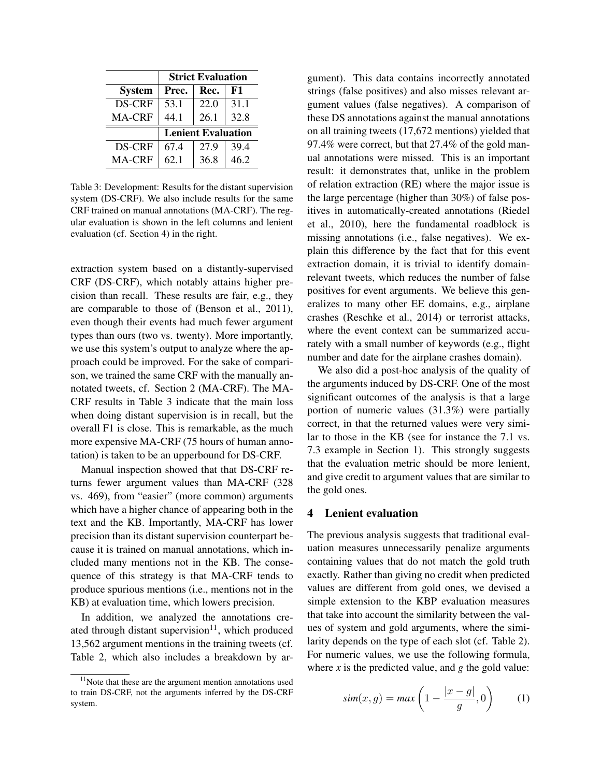|               | <b>Strict Evaluation</b>  |      |      |  |
|---------------|---------------------------|------|------|--|
| <b>System</b> | Prec.                     | Rec. | F1   |  |
| DS-CRF        | 53.1                      | 22.0 | 31.1 |  |
| MA-CRF        | 44.1                      | 26.1 | 32.8 |  |
|               | <b>Lenient Evaluation</b> |      |      |  |
| DS-CRF        | 67.4                      | 27.9 | 39.4 |  |
| <b>MA-CRF</b> | 62.1                      | 36.8 | 46.2 |  |

Table 3: Development: Results for the distant supervision system (DS-CRF). We also include results for the same CRF trained on manual annotations (MA-CRF). The regular evaluation is shown in the left columns and lenient evaluation (cf. Section 4) in the right.

extraction system based on a distantly-supervised CRF (DS-CRF), which notably attains higher precision than recall. These results are fair, e.g., they are comparable to those of (Benson et al., 2011), even though their events had much fewer argument types than ours (two vs. twenty). More importantly, we use this system's output to analyze where the approach could be improved. For the sake of comparison, we trained the same CRF with the manually annotated tweets, cf. Section 2 (MA-CRF). The MA-CRF results in Table 3 indicate that the main loss when doing distant supervision is in recall, but the overall F1 is close. This is remarkable, as the much more expensive MA-CRF (75 hours of human annotation) is taken to be an upperbound for DS-CRF.

Manual inspection showed that that DS-CRF returns fewer argument values than MA-CRF (328 vs. 469), from "easier" (more common) arguments which have a higher chance of appearing both in the text and the KB. Importantly, MA-CRF has lower precision than its distant supervision counterpart because it is trained on manual annotations, which included many mentions not in the KB. The consequence of this strategy is that MA-CRF tends to produce spurious mentions (i.e., mentions not in the KB) at evaluation time, which lowers precision.

In addition, we analyzed the annotations created through distant supervision $11$ , which produced 13,562 argument mentions in the training tweets (cf. Table 2, which also includes a breakdown by argument). This data contains incorrectly annotated strings (false positives) and also misses relevant argument values (false negatives). A comparison of these DS annotations against the manual annotations on all training tweets (17,672 mentions) yielded that 97.4% were correct, but that 27.4% of the gold manual annotations were missed. This is an important result: it demonstrates that, unlike in the problem of relation extraction (RE) where the major issue is the large percentage (higher than 30%) of false positives in automatically-created annotations (Riedel et al., 2010), here the fundamental roadblock is missing annotations (i.e., false negatives). We explain this difference by the fact that for this event extraction domain, it is trivial to identify domainrelevant tweets, which reduces the number of false positives for event arguments. We believe this generalizes to many other EE domains, e.g., airplane crashes (Reschke et al., 2014) or terrorist attacks, where the event context can be summarized accurately with a small number of keywords (e.g., flight number and date for the airplane crashes domain).

We also did a post-hoc analysis of the quality of the arguments induced by DS-CRF. One of the most significant outcomes of the analysis is that a large portion of numeric values (31.3%) were partially correct, in that the returned values were very similar to those in the KB (see for instance the 7.1 vs. 7.3 example in Section 1). This strongly suggests that the evaluation metric should be more lenient, and give credit to argument values that are similar to the gold ones.

# 4 Lenient evaluation

The previous analysis suggests that traditional evaluation measures unnecessarily penalize arguments containing values that do not match the gold truth exactly. Rather than giving no credit when predicted values are different from gold ones, we devised a simple extension to the KBP evaluation measures that take into account the similarity between the values of system and gold arguments, where the similarity depends on the type of each slot (cf. Table 2). For numeric values, we use the following formula, where  $x$  is the predicted value, and  $g$  the gold value:

$$
sim(x,g) = max\left(1 - \frac{|x - g|}{g}, 0\right) \tag{1}
$$

 $11$ Note that these are the argument mention annotations used to train DS-CRF, not the arguments inferred by the DS-CRF system.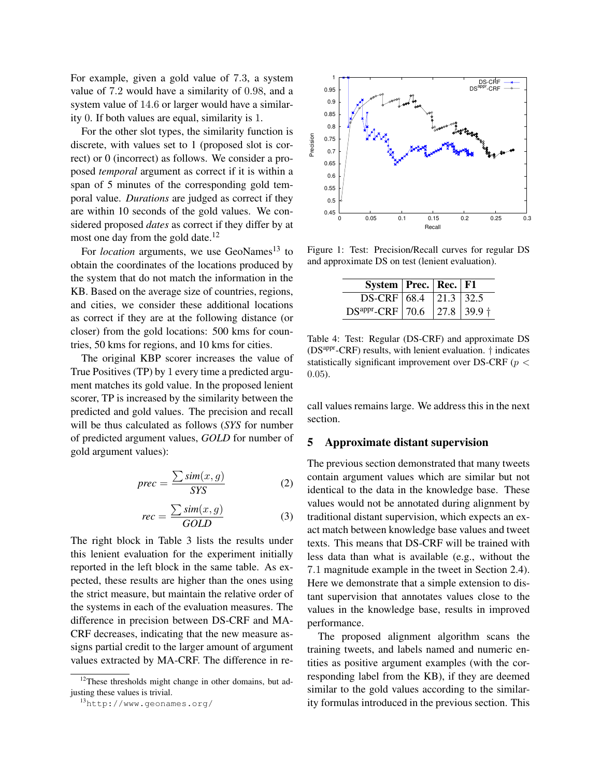For example, given a gold value of 7.3, a system value of 7.2 would have a similarity of 0.98, and a system value of 14.6 or larger would have a similarity 0. If both values are equal, similarity is 1.

For the other slot types, the similarity function is discrete, with values set to 1 (proposed slot is correct) or 0 (incorrect) as follows. We consider a proposed *temporal* argument as correct if it is within a span of 5 minutes of the corresponding gold temporal value. *Durations* are judged as correct if they are within 10 seconds of the gold values. We considered proposed *dates* as correct if they differ by at most one day from the gold date.<sup>12</sup>

For *location* arguments, we use GeoNames<sup>13</sup> to obtain the coordinates of the locations produced by the system that do not match the information in the KB. Based on the average size of countries, regions, and cities, we consider these additional locations as correct if they are at the following distance (or closer) from the gold locations: 500 kms for countries, 50 kms for regions, and 10 kms for cities.

The original KBP scorer increases the value of True Positives (TP) by 1 every time a predicted argument matches its gold value. In the proposed lenient scorer, TP is increased by the similarity between the predicted and gold values. The precision and recall will be thus calculated as follows (*SYS* for number of predicted argument values, *GOLD* for number of gold argument values):

$$
prec = \frac{\sum sim(x, g)}{SYS}
$$
 (2)

$$
rec = \frac{\sum sim(x, g)}{GOLD} \tag{3}
$$

The right block in Table 3 lists the results under this lenient evaluation for the experiment initially reported in the left block in the same table. As expected, these results are higher than the ones using the strict measure, but maintain the relative order of the systems in each of the evaluation measures. The difference in precision between DS-CRF and MA-CRF decreases, indicating that the new measure assigns partial credit to the larger amount of argument values extracted by MA-CRF. The difference in re-



Figure 1: Test: Precision/Recall curves for regular DS and approximate DS on test (lenient evaluation).

| System   Prec.   Rec.   F1             |  |  |
|----------------------------------------|--|--|
| DS-CRF $\vert$ 68.4 $\vert$ 21.3 32.5  |  |  |
| DS <sup>appr</sup> -CRF 70.6 27.8 39.9 |  |  |

Table 4: Test: Regular (DS-CRF) and approximate DS ( $DS<sup>appr</sup>-CRF$ ) results, with lenient evaluation.  $\dagger$  indicates statistically significant improvement over DS-CRF ( $p <$ 0.05).

call values remains large. We address this in the next section.

## 5 Approximate distant supervision

The previous section demonstrated that many tweets contain argument values which are similar but not identical to the data in the knowledge base. These values would not be annotated during alignment by traditional distant supervision, which expects an exact match between knowledge base values and tweet texts. This means that DS-CRF will be trained with less data than what is available (e.g., without the 7.1 magnitude example in the tweet in Section 2.4). Here we demonstrate that a simple extension to distant supervision that annotates values close to the values in the knowledge base, results in improved performance.

The proposed alignment algorithm scans the training tweets, and labels named and numeric entities as positive argument examples (with the corresponding label from the KB), if they are deemed similar to the gold values according to the similarity formulas introduced in the previous section. This

 $12$ These thresholds might change in other domains, but adjusting these values is trivial.

<sup>13</sup>http://www.geonames.org/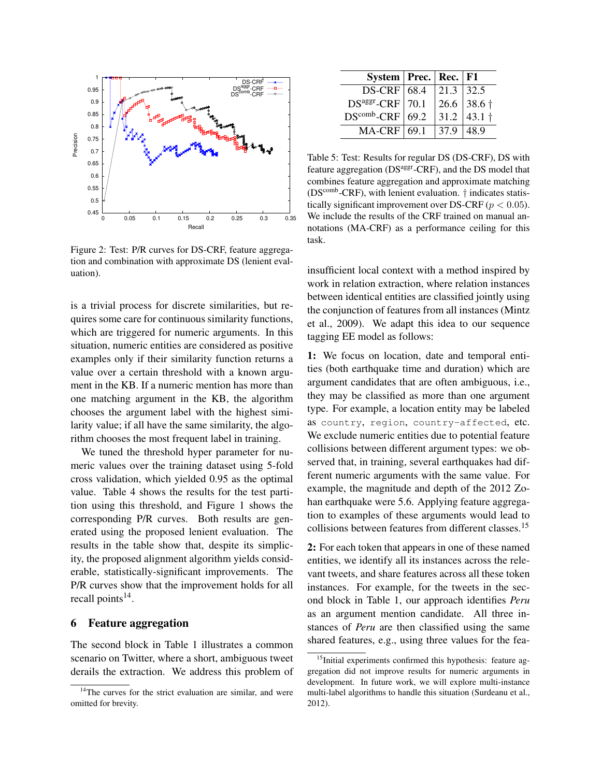

Figure 2: Test: P/R curves for DS-CRF, feature aggregation and combination with approximate DS (lenient evaluation).

is a trivial process for discrete similarities, but requires some care for continuous similarity functions, which are triggered for numeric arguments. In this situation, numeric entities are considered as positive examples only if their similarity function returns a value over a certain threshold with a known argument in the KB. If a numeric mention has more than one matching argument in the KB, the algorithm chooses the argument label with the highest similarity value; if all have the same similarity, the algorithm chooses the most frequent label in training.

We tuned the threshold hyper parameter for numeric values over the training dataset using 5-fold cross validation, which yielded 0.95 as the optimal value. Table 4 shows the results for the test partition using this threshold, and Figure 1 shows the corresponding P/R curves. Both results are generated using the proposed lenient evaluation. The results in the table show that, despite its simplicity, the proposed alignment algorithm yields considerable, statistically-significant improvements. The P/R curves show that the improvement holds for all recall points<sup>14</sup>.

## 6 Feature aggregation

The second block in Table 1 illustrates a common scenario on Twitter, where a short, ambiguous tweet derails the extraction. We address this problem of

| System   Prec.   Rec.   F1 |              |           |
|----------------------------|--------------|-----------|
| $DS-CRF$ 68.4              | 21.3 32.5    |           |
| $DSager-CRF$ 70.1          |              | 26.6 38.6 |
| $DS^{comb} - CRF$ 69.2     | $\vert$ 31.2 | 43.1      |
| $MA-CRF$ 69.1              | 37.9         | 48.9      |

Table 5: Test: Results for regular DS (DS-CRF), DS with feature aggregation (DS<sup>aggr</sup>-CRF), and the DS model that combines feature aggregation and approximate matching  $(DS<sup>comb</sup>-CRF)$ , with lenient evaluation.  $\dagger$  indicates statistically significant improvement over DS-CRF ( $p < 0.05$ ). We include the results of the CRF trained on manual annotations (MA-CRF) as a performance ceiling for this task.

insufficient local context with a method inspired by work in relation extraction, where relation instances between identical entities are classified jointly using the conjunction of features from all instances (Mintz et al., 2009). We adapt this idea to our sequence tagging EE model as follows:

1: We focus on location, date and temporal entities (both earthquake time and duration) which are argument candidates that are often ambiguous, i.e., they may be classified as more than one argument type. For example, a location entity may be labeled as country, region, country-affected, etc. We exclude numeric entities due to potential feature collisions between different argument types: we observed that, in training, several earthquakes had different numeric arguments with the same value. For example, the magnitude and depth of the 2012 Zohan earthquake were 5.6. Applying feature aggregation to examples of these arguments would lead to collisions between features from different classes.<sup>15</sup>

2: For each token that appears in one of these named entities, we identify all its instances across the relevant tweets, and share features across all these token instances. For example, for the tweets in the second block in Table 1, our approach identifies *Peru* as an argument mention candidate. All three instances of *Peru* are then classified using the same shared features, e.g., using three values for the fea-

 $14$ The curves for the strict evaluation are similar, and were omitted for brevity.

<sup>&</sup>lt;sup>15</sup>Initial experiments confirmed this hypothesis: feature aggregation did not improve results for numeric arguments in development. In future work, we will explore multi-instance multi-label algorithms to handle this situation (Surdeanu et al., 2012).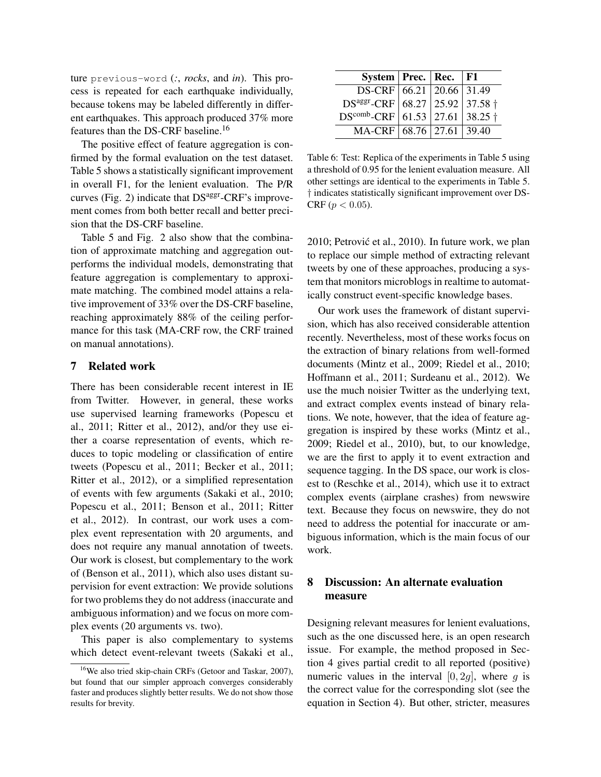ture previous-word (*:*, *rocks*, and *in*). This process is repeated for each earthquake individually, because tokens may be labeled differently in different earthquakes. This approach produced 37% more features than the DS-CRF baseline.<sup>16</sup>

The positive effect of feature aggregation is confirmed by the formal evaluation on the test dataset. Table 5 shows a statistically significant improvement in overall F1, for the lenient evaluation. The P/R curves (Fig. 2) indicate that  $DS<sup>aggr</sup>-CRF's$  improvement comes from both better recall and better precision that the DS-CRF baseline.

Table 5 and Fig. 2 also show that the combination of approximate matching and aggregation outperforms the individual models, demonstrating that feature aggregation is complementary to approximate matching. The combined model attains a relative improvement of 33% over the DS-CRF baseline, reaching approximately 88% of the ceiling performance for this task (MA-CRF row, the CRF trained on manual annotations).

# 7 Related work

There has been considerable recent interest in IE from Twitter. However, in general, these works use supervised learning frameworks (Popescu et al., 2011; Ritter et al., 2012), and/or they use either a coarse representation of events, which reduces to topic modeling or classification of entire tweets (Popescu et al., 2011; Becker et al., 2011; Ritter et al., 2012), or a simplified representation of events with few arguments (Sakaki et al., 2010; Popescu et al., 2011; Benson et al., 2011; Ritter et al., 2012). In contrast, our work uses a complex event representation with 20 arguments, and does not require any manual annotation of tweets. Our work is closest, but complementary to the work of (Benson et al., 2011), which also uses distant supervision for event extraction: We provide solutions for two problems they do not address (inaccurate and ambiguous information) and we focus on more complex events (20 arguments vs. two).

This paper is also complementary to systems which detect event-relevant tweets (Sakaki et al.,

| System   Prec.   Rec.                  |  | F1 |
|----------------------------------------|--|----|
| DS-CRF 66.21   20.66   31.49           |  |    |
| $DSaggr-CRF   68.27   25.92   37.58  $ |  |    |
| $DS^{comb}$ -CRF 61.53 27.61 38.25 +   |  |    |
| MA-CRF 68.76   27.61   39.40           |  |    |

Table 6: Test: Replica of the experiments in Table 5 using a threshold of 0.95 for the lenient evaluation measure. All other settings are identical to the experiments in Table 5. † indicates statistically significant improvement over DS-CRF ( $p < 0.05$ ).

2010; Petrović et al., 2010). In future work, we plan to replace our simple method of extracting relevant tweets by one of these approaches, producing a system that monitors microblogs in realtime to automatically construct event-specific knowledge bases.

Our work uses the framework of distant supervision, which has also received considerable attention recently. Nevertheless, most of these works focus on the extraction of binary relations from well-formed documents (Mintz et al., 2009; Riedel et al., 2010; Hoffmann et al., 2011; Surdeanu et al., 2012). We use the much noisier Twitter as the underlying text, and extract complex events instead of binary relations. We note, however, that the idea of feature aggregation is inspired by these works (Mintz et al., 2009; Riedel et al., 2010), but, to our knowledge, we are the first to apply it to event extraction and sequence tagging. In the DS space, our work is closest to (Reschke et al., 2014), which use it to extract complex events (airplane crashes) from newswire text. Because they focus on newswire, they do not need to address the potential for inaccurate or ambiguous information, which is the main focus of our work.

# 8 Discussion: An alternate evaluation measure

Designing relevant measures for lenient evaluations, such as the one discussed here, is an open research issue. For example, the method proposed in Section 4 gives partial credit to all reported (positive) numeric values in the interval  $[0, 2g]$ , where g is the correct value for the corresponding slot (see the equation in Section 4). But other, stricter, measures

<sup>16</sup>We also tried skip-chain CRFs (Getoor and Taskar, 2007), but found that our simpler approach converges considerably faster and produces slightly better results. We do not show those results for brevity.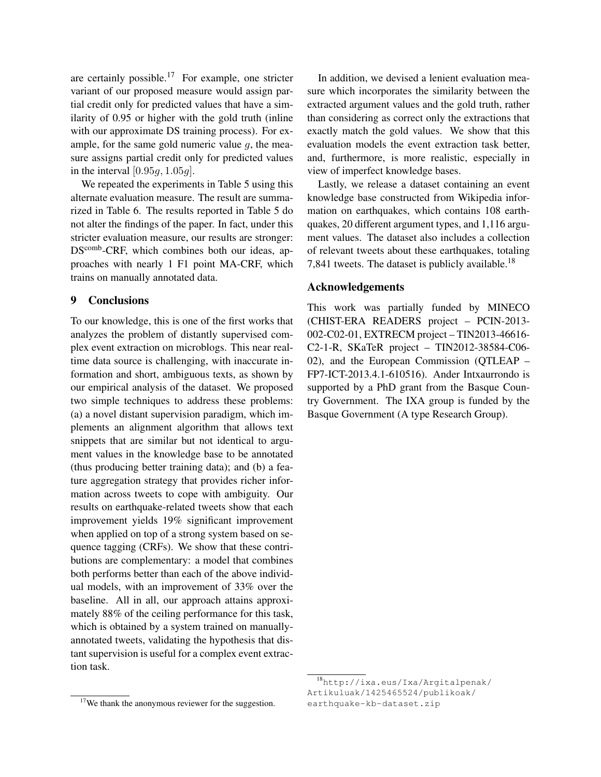are certainly possible.<sup>17</sup> For example, one stricter variant of our proposed measure would assign partial credit only for predicted values that have a similarity of 0.95 or higher with the gold truth (inline with our approximate DS training process). For example, for the same gold numeric value  $q$ , the measure assigns partial credit only for predicted values in the interval  $[0.95g, 1.05g]$ .

We repeated the experiments in Table 5 using this alternate evaluation measure. The result are summarized in Table 6. The results reported in Table 5 do not alter the findings of the paper. In fact, under this stricter evaluation measure, our results are stronger: DS<sup>comb</sup>-CRF, which combines both our ideas, approaches with nearly 1 F1 point MA-CRF, which trains on manually annotated data.

#### 9 Conclusions

To our knowledge, this is one of the first works that analyzes the problem of distantly supervised complex event extraction on microblogs. This near realtime data source is challenging, with inaccurate information and short, ambiguous texts, as shown by our empirical analysis of the dataset. We proposed two simple techniques to address these problems: (a) a novel distant supervision paradigm, which implements an alignment algorithm that allows text snippets that are similar but not identical to argument values in the knowledge base to be annotated (thus producing better training data); and (b) a feature aggregation strategy that provides richer information across tweets to cope with ambiguity. Our results on earthquake-related tweets show that each improvement yields 19% significant improvement when applied on top of a strong system based on sequence tagging (CRFs). We show that these contributions are complementary: a model that combines both performs better than each of the above individual models, with an improvement of 33% over the baseline. All in all, our approach attains approximately 88% of the ceiling performance for this task, which is obtained by a system trained on manuallyannotated tweets, validating the hypothesis that distant supervision is useful for a complex event extraction task.

In addition, we devised a lenient evaluation measure which incorporates the similarity between the extracted argument values and the gold truth, rather than considering as correct only the extractions that exactly match the gold values. We show that this evaluation models the event extraction task better, and, furthermore, is more realistic, especially in view of imperfect knowledge bases.

Lastly, we release a dataset containing an event knowledge base constructed from Wikipedia information on earthquakes, which contains 108 earthquakes, 20 different argument types, and 1,116 argument values. The dataset also includes a collection of relevant tweets about these earthquakes, totaling 7,841 tweets. The dataset is publicly available.<sup>18</sup>

# Acknowledgements

This work was partially funded by MINECO (CHIST-ERA READERS project – PCIN-2013- 002-C02-01, EXTRECM project – TIN2013-46616- C2-1-R, SKaTeR project – TIN2012-38584-C06- 02), and the European Commission (QTLEAP – FP7-ICT-2013.4.1-610516). Ander Intxaurrondo is supported by a PhD grant from the Basque Country Government. The IXA group is funded by the Basque Government (A type Research Group).

<sup>&</sup>lt;sup>17</sup>We thank the anonymous reviewer for the suggestion.

<sup>18</sup>http://ixa.eus/Ixa/Argitalpenak/ Artikuluak/1425465524/publikoak/ earthquake-kb-dataset.zip